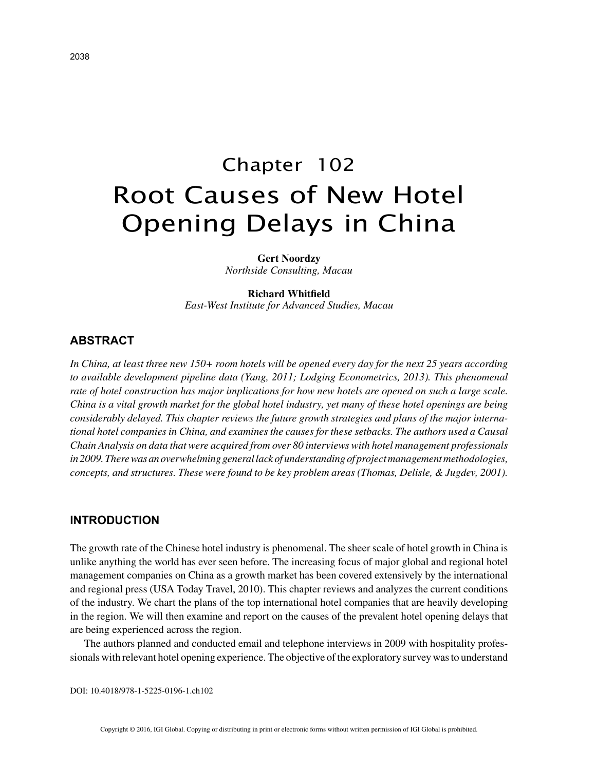# Chapter 102 Root Causes of New Hotel Opening Delays in China

**Gert Noordzy** *Northside Consulting, Macau*

# **Richard Whitfield**

*East-West Institute for Advanced Studies, Macau*

## **ABSTRACT**

*In China, at least three new 150+ room hotels will be opened every day for the next 25 years according to available development pipeline data (Yang, 2011; Lodging Econometrics, 2013). This phenomenal rate of hotel construction has major implications for how new hotels are opened on such a large scale. China is a vital growth market for the global hotel industry, yet many of these hotel openings are being considerably delayed. This chapter reviews the future growth strategies and plans of the major international hotel companies in China, and examines the causes for these setbacks. The authors used a Causal Chain Analysis on data that were acquired from over 80 interviews with hotel management professionals in 2009. There was an overwhelming general lack of understanding of project management methodologies, concepts, and structures. These were found to be key problem areas (Thomas, Delisle, & Jugdev, 2001).*

# **INTRODUCTION**

The growth rate of the Chinese hotel industry is phenomenal. The sheer scale of hotel growth in China is unlike anything the world has ever seen before. The increasing focus of major global and regional hotel management companies on China as a growth market has been covered extensively by the international and regional press (USA Today Travel, 2010). This chapter reviews and analyzes the current conditions of the industry. We chart the plans of the top international hotel companies that are heavily developing in the region. We will then examine and report on the causes of the prevalent hotel opening delays that are being experienced across the region.

The authors planned and conducted email and telephone interviews in 2009 with hospitality professionals with relevant hotel opening experience. The objective of the exploratory survey was to understand

DOI: 10.4018/978-1-5225-0196-1.ch102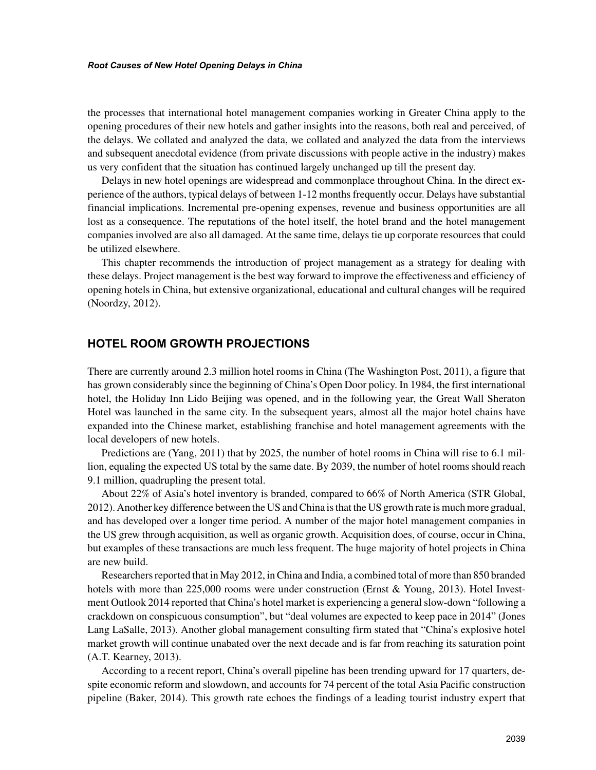the processes that international hotel management companies working in Greater China apply to the opening procedures of their new hotels and gather insights into the reasons, both real and perceived, of the delays. We collated and analyzed the data, we collated and analyzed the data from the interviews and subsequent anecdotal evidence (from private discussions with people active in the industry) makes us very confident that the situation has continued largely unchanged up till the present day.

Delays in new hotel openings are widespread and commonplace throughout China. In the direct experience of the authors, typical delays of between 1-12 months frequently occur. Delays have substantial financial implications. Incremental pre-opening expenses, revenue and business opportunities are all lost as a consequence. The reputations of the hotel itself, the hotel brand and the hotel management companies involved are also all damaged. At the same time, delays tie up corporate resources that could be utilized elsewhere.

This chapter recommends the introduction of project management as a strategy for dealing with these delays. Project management is the best way forward to improve the effectiveness and efficiency of opening hotels in China, but extensive organizational, educational and cultural changes will be required (Noordzy, 2012).

## **HOTEL ROOM GROWTH PROJECTIONS**

There are currently around 2.3 million hotel rooms in China (The Washington Post, 2011), a figure that has grown considerably since the beginning of China's Open Door policy. In 1984, the first international hotel, the Holiday Inn Lido Beijing was opened, and in the following year, the Great Wall Sheraton Hotel was launched in the same city. In the subsequent years, almost all the major hotel chains have expanded into the Chinese market, establishing franchise and hotel management agreements with the local developers of new hotels.

Predictions are (Yang, 2011) that by 2025, the number of hotel rooms in China will rise to 6.1 million, equaling the expected US total by the same date. By 2039, the number of hotel rooms should reach 9.1 million, quadrupling the present total.

About 22% of Asia's hotel inventory is branded, compared to 66% of North America (STR Global, 2012). Another key difference between the US and China is that the US growth rate is much more gradual, and has developed over a longer time period. A number of the major hotel management companies in the US grew through acquisition, as well as organic growth. Acquisition does, of course, occur in China, but examples of these transactions are much less frequent. The huge majority of hotel projects in China are new build.

Researchers reported that in May 2012, in China and India, a combined total of more than 850 branded hotels with more than 225,000 rooms were under construction (Ernst & Young, 2013). Hotel Investment Outlook 2014 reported that China's hotel market is experiencing a general slow-down "following a crackdown on conspicuous consumption", but "deal volumes are expected to keep pace in 2014" (Jones Lang LaSalle, 2013). Another global management consulting firm stated that "China's explosive hotel market growth will continue unabated over the next decade and is far from reaching its saturation point (A.T. Kearney, 2013).

According to a recent report, China's overall pipeline has been trending upward for 17 quarters, despite economic reform and slowdown, and accounts for 74 percent of the total Asia Pacific construction pipeline (Baker, 2014). This growth rate echoes the findings of a leading tourist industry expert that